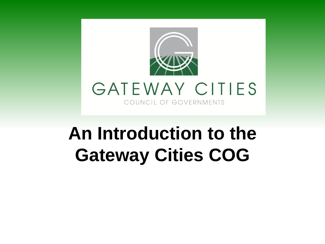

# **An Introduction to the Gateway Cities COG**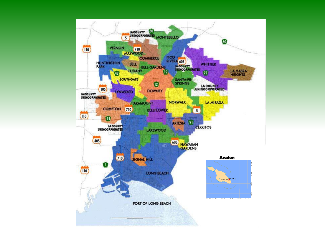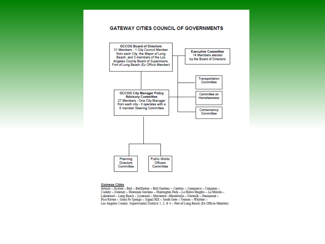#### **GATEWAY CITIES COUNCIL OF GOVERNMENTS**



#### **Gateway Cities**

Artesia ~ Avalon ~ Bell ~ Bellflower ~ Bell Gardens ~ Cerritos ~ Commerce ~ Compton ~ Cudahy ~ Downey ~ Hawaiian Gardens ~ Huntington Park ~ La Habra Heights ~ La Mirada ~ Lakewood ~ Long Beach ~ Lynwood ~ Maywood ~ Montebello ~ Norwalk ~ Paramount ~ Pico Rivera ~ Santa Fe Springs ~ Signal Hill ~ South Gate ~ Vernon ~ Whittier ~ Los Angeles County, Supervisorial Districts 1, 2, & 4 ~ Port of Long Beach (Ex Officio Member)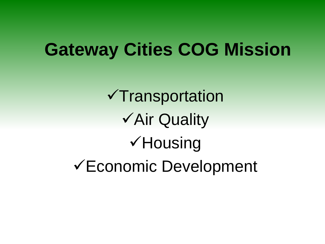## **Gateway Cities COG Mission**

 $\checkmark$ Transportation Air Quality **√Housing** Economic Development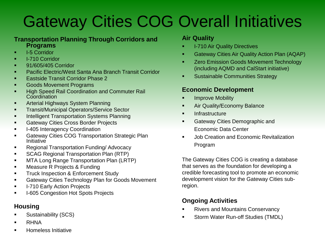## Gateway Cities COG Overall Initiatives

#### **Transportation Planning Through Corridors and Programs**

- **I-5 Corridor**
- **I-710 Corridor**
- **91/605/405 Corridor**
- **Pacific Electric/West Santa Ana Branch Transit Corridor**
- **Eastside Transit Corridor Phase 2**
- **Goods Movement Programs**
- **High Speed Rail Coordination and Commuter Rail Coordination**
- **EXECUTE:** Arterial Highways System Planning
- **Transit/Municipal Operators/Service Sector**
- **Intelligent Transportation Systems Planning**
- **Gateway Cities Cross Border Projects**
- **I-405 Interagency Coordination**
- **EXECUTE:** Gateway Cities COG Transportation Strategic Plan **Initiative**
- **Regional Transportation Funding/ Advocacy**
- **SCAG Regional Transportation Plan (RTP)**
- **MTA Long Range Transportation Plan (LRTP)**
- **EXECUTE:** Measure R Projects & Funding
- **Truck Inspection & Enforcement Study**
- **EXEC** Gateway Cities Technology Plan for Goods Movement
- **I-710 Early Action Projects**
- **I-605 Congestion Hot Spots Projects**

### **Housing**

- **Sustainability (SCS)**
- **B** RHNA
- **EXECUTE:** Homeless Initiative

#### **Air Quality**

- I-710 Air Quality Directives
- Gateway Cities Air Quality Action Plan (AQAP)
- Zero Emission Goods Movement Technology (including AQMD and CalStart initiative)
- **Sustainable Communities Strategy**

#### **Economic Development**

- Improve Mobility
- **Air Quality/Economy Balance**
- **Infrastructure**
- Gateway Cities Demographic and Economic Data Center
- Job Creation and Economic Revitalization Program

The Gateway Cities COG is creating a database that serves as the foundation for developing a credible forecasting tool to promote an economic development vision for the Gateway Cities subregion.

### **Ongoing Activities**

- Rivers and Mountains Conservancy
- **Storm Water Run-off Studies (TMDL)**